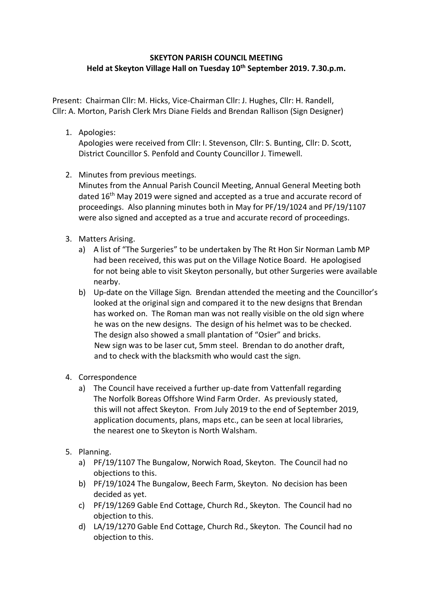## **SKEYTON PARISH COUNCIL MEETING Held at Skeyton Village Hall on Tuesday 10th September 2019. 7.30.p.m.**

Present: Chairman Cllr: M. Hicks, Vice-Chairman Cllr: J. Hughes, Cllr: H. Randell, Cllr: A. Morton, Parish Clerk Mrs Diane Fields and Brendan Rallison (Sign Designer)

1. Apologies:

Apologies were received from Cllr: I. Stevenson, Cllr: S. Bunting, Cllr: D. Scott, District Councillor S. Penfold and County Councillor J. Timewell.

2. Minutes from previous meetings.

Minutes from the Annual Parish Council Meeting, Annual General Meeting both dated 16<sup>th</sup> May 2019 were signed and accepted as a true and accurate record of proceedings. Also planning minutes both in May for PF/19/1024 and PF/19/1107 were also signed and accepted as a true and accurate record of proceedings.

- 3. Matters Arising.
	- a) A list of "The Surgeries" to be undertaken by The Rt Hon Sir Norman Lamb MP had been received, this was put on the Village Notice Board. He apologised for not being able to visit Skeyton personally, but other Surgeries were available nearby.
	- b) Up-date on the Village Sign. Brendan attended the meeting and the Councillor's looked at the original sign and compared it to the new designs that Brendan has worked on. The Roman man was not really visible on the old sign where he was on the new designs. The design of his helmet was to be checked. The design also showed a small plantation of "Osier" and bricks. New sign was to be laser cut, 5mm steel. Brendan to do another draft, and to check with the blacksmith who would cast the sign.
- 4. Correspondence
	- a) The Council have received a further up-date from Vattenfall regarding The Norfolk Boreas Offshore Wind Farm Order. As previously stated, this will not affect Skeyton. From July 2019 to the end of September 2019, application documents, plans, maps etc., can be seen at local libraries, the nearest one to Skeyton is North Walsham.
- 5. Planning.
	- a) PF/19/1107 The Bungalow, Norwich Road, Skeyton. The Council had no objections to this.
	- b) PF/19/1024 The Bungalow, Beech Farm, Skeyton. No decision has been decided as yet.
	- c) PF/19/1269 Gable End Cottage, Church Rd., Skeyton. The Council had no objection to this.
	- d) LA/19/1270 Gable End Cottage, Church Rd., Skeyton. The Council had no objection to this.